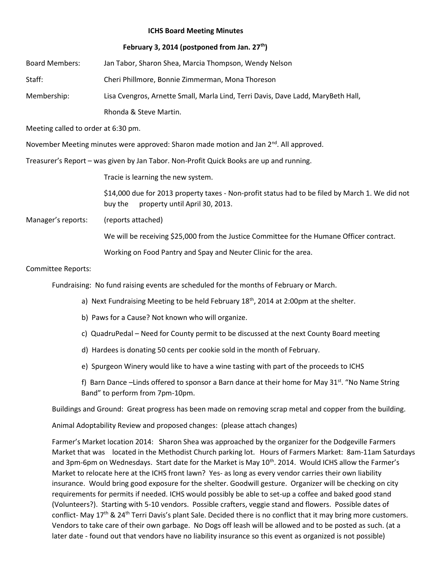## **ICHS Board Meeting Minutes**

## **February 3, 2014 (postponed from Jan. 27th)**

Board Members: Jan Tabor, Sharon Shea, Marcia Thompson, Wendy Nelson Staff: Cheri Phillmore, Bonnie Zimmerman, Mona Thoreson Membership: Lisa Cvengros, Arnette Small, Marla Lind, Terri Davis, Dave Ladd, MaryBeth Hall, Rhonda & Steve Martin.

Meeting called to order at 6:30 pm.

November Meeting minutes were approved: Sharon made motion and Jan 2<sup>nd</sup>. All approved.

Treasurer's Report – was given by Jan Tabor. Non-Profit Quick Books are up and running.

Tracie is learning the new system.

\$14,000 due for 2013 property taxes - Non-profit status had to be filed by March 1. We did not buy the property until April 30, 2013.

Manager's reports: (reports attached)

We will be receiving \$25,000 from the Justice Committee for the Humane Officer contract.

Working on Food Pantry and Spay and Neuter Clinic for the area.

## Committee Reports:

Fundraising: No fund raising events are scheduled for the months of February or March.

- a) Next Fundraising Meeting to be held February  $18<sup>th</sup>$ , 2014 at 2:00pm at the shelter.
- b) Paws for a Cause? Not known who will organize.
- c) QuadruPedal Need for County permit to be discussed at the next County Board meeting
- d) Hardees is donating 50 cents per cookie sold in the month of February.
- e) Spurgeon Winery would like to have a wine tasting with part of the proceeds to ICHS

f) Barn Dance -Linds offered to sponsor a Barn dance at their home for May 31<sup>st</sup>. "No Name String Band" to perform from 7pm-10pm.

Buildings and Ground: Great progress has been made on removing scrap metal and copper from the building.

Animal Adoptability Review and proposed changes: (please attach changes)

Farmer's Market location 2014: Sharon Shea was approached by the organizer for the Dodgeville Farmers Market that was located in the Methodist Church parking lot. Hours of Farmers Market: 8am-11am Saturdays and 3pm-6pm on Wednesdays. Start date for the Market is May 10<sup>th</sup>. 2014. Would ICHS allow the Farmer's Market to relocate here at the ICHS front lawn? Yes- as long as every vendor carries their own liability insurance. Would bring good exposure for the shelter. Goodwill gesture. Organizer will be checking on city requirements for permits if needed. ICHS would possibly be able to set-up a coffee and baked good stand (Volunteers?). Starting with 5-10 vendors. Possible crafters, veggie stand and flowers. Possible dates of conflict- May 17<sup>th</sup> & 24<sup>th</sup> Terri Davis's plant Sale. Decided there is no conflict that it may bring more customers. Vendors to take care of their own garbage. No Dogs off leash will be allowed and to be posted as such. (at a later date - found out that vendors have no liability insurance so this event as organized is not possible)